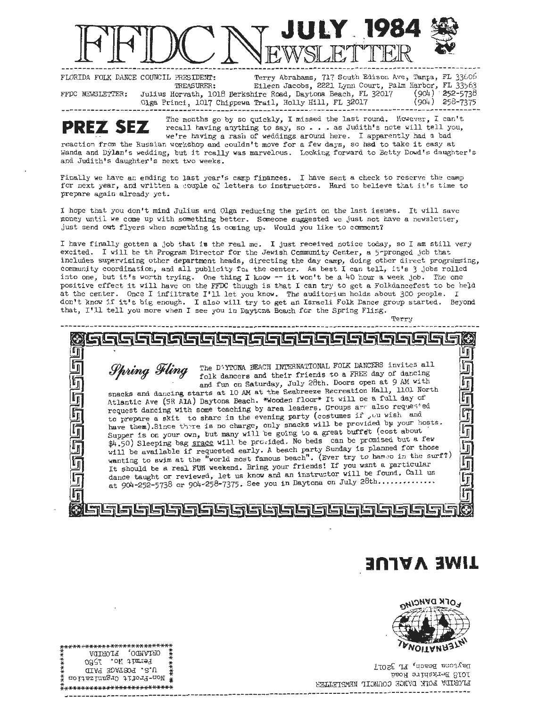

**---------------------------r-------------------------------** EWSLETTER **-----------------------------------------** <sup>~</sup>FLORIDA FOLK DANCE COUNCIL PRESIDENT: Terry Abrahams, 717 South Edison Ave, Tampa, FL 33606 TREASURER: Eileen Jacobs, 2221 Lynn Court, Palm Harbor, FL 33563 FFDC NEWSLETTER: Julius Horvath, 1018 Berkshire Road, Daytona Beach, FL 32017 (904) 252-5738 Julius Horvath, 1018 Berkshire Road, Daytona Beach, FL 32017 (904) 252-5738<br>Olga Princi, 1017 Chippewa Trail, Holly Hill, FL 32017 (904) 258-7375

The months go by so quickly, I missed the last round. However, I can't recall having anything to say, so . . . as Judith's note will tell you, we're having a rash of weddings around here. I apparently had a bad

reaction from the Russian workshop and couldn't move for a few days, so had to take it easy at Wanda and Dylan's wedding, but it really was marvelous. Looking forward to Betty Dowd's daughter's and Judith's daughter's next two weeks.

Finally we have an ending to last year's camp finances. I have sent a check to reserve the camp for next year, and written a couple of letters to instructors. Hard to believe that it's time to prepare again already yet.

I hope that you don't mind Julius and Olga reducing the print on the last issues. It will save money until we come up with something better. Someone suggested we just not have a newsletter, just send out flyers when something is coming up. Would you like to comment?

I have finally gotten a job that is the real me. I just received notice today, so I am still very excited. I will be th Program Director for the Jewish Community Center, a 5-pronged job that includes supervising other department heads, directing the day camp, doing other direct progranuning, community coordination, and all publicity for the center. As best I can tell, it's 3 jobs rolled into one, but it's worth trying. One thing I know -- it won't be **a** 40 hour a week job . The one positive effect it will have on the FFDC though is that I can try to get a Folkdancefest to be held at the center. Once I infiltrate I'll let you know. The auditorium holds about 300 people. I don't know if it's big enough. I also will try to get an Israeli Folk Dance group started. Beyond that, I'll tell you more when I see you in Daytona Beach for the Spring Fling.

Terry -------------------------**ll#iJ** @@  $\circ$ **Figure 3** The D'YTONA BEACH INTERNATIONAL FOLK DANCERS invites all folk of dancing<br>and fun on Saturday, July 28th. Boors open at 9 AM with Whing Fine DiFTONA BEACH INTERNATIONAL FOLK DANCERS invites all<br>
smacks and dancing starts at 10 AM at the Seabreeze Recreation Hall, 1101 North<br>
Atlantic Ave (SR AlA) Daytona Beach. \*Nooden floor\* It will be a full day of request dancing with some teaching by area leaders. Groups are also requested in<br>Si to prepare a skit to share in the evening party (costumes if , ou wish and have them). Since there is no charge, only snacks will be provided by your hosts. Supper is on your own, but many will be going to a great buffet (cost about  $$4.50$ ) Sleeping bag snace will be provided. No beds can be pro have them). Since there is no charge, only snacks will be provided by your nosts.<br>Supper is on your own, but many will be going to a great buffet (cost about<br> $\sharp$ 4.50) Sleeping bag <u>srace</u> will be provided. No beds can be will be available if requested early. A beach party Sunday is planned for those wanting to swim at the "world most famous beach". (Ever try to hamoo in the surf?) It should be a real FUN weekend. Bring your friends! If yo ; while evaluable in Figure and Theorem and the "world most famous beach". (Ever try to hambo in the surf?)<br>It should be a real FUN weekend. Bring your friends! If you want a particular<br>dance taught or reviewed, let us know It should be a real FUN weekend. Bring your friends! If you want a particular

# **TIME VALUE**



Daytons Beach, FL 32017 Pooh atkshire Road h Indelby and I by no connol new Parts II -------------------------------------------------------------------------------------- - --

| .* <i>*********************</i> * |  |
|-----------------------------------|--|
| ORIVADO' LIORIDV<br>푳             |  |
| ≸<br>Permit No. 1580<br>₫         |  |
| X<br>U.S. FORTAGE PAID<br>Ĭ       |  |
| noidssinsgi0 difoid-noW           |  |
| ***************************       |  |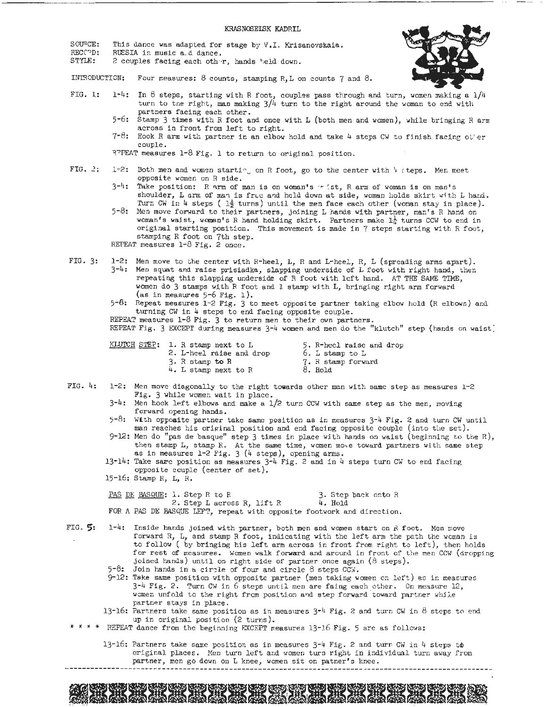#### KRASNOSELSK KADRIL

SOU<sup>O</sup>CE: This dance was adapted for stage by V.I. Krisanovskaia.

- RECC<sup>p</sup>D: RUESIA in music a.d dance.
- STYLE: 2 couples facing each oth~r, hands 1 1eld down.



INTSODUCTION: Four measures: 8 counts, stamping R,L on counts 7 and 8.

- FIG. 1:  $1^{-4}$ : In 8 steps, starting with R foot, couples pass through and turn, women making a  $1/4$ turn to the right, man making  $3/4$  turn to the right around the woman to end with partners facing each other.
	- 5- 6: Stamp 3 times with R foot and once with L (both men and women), while bringing R arm across in front from left to right.
	- $7-8$ : Hook R arm with partner in an elbow hold and take 4 steps CW to finish facing other couple.

R<sup>T</sup>PEAT measures 1-8 Fig. 1 to return to original position.

- FIG. 2: 1-2: Both men and women starting on R foot, go to the center with 4 steps. Men meet opposite women on R side.
	- $3^{-1}$ : Take position: R arm of man is on woman's  $\cdot r$  ist, R arm of woman is on man's shoulder, L arm of man is free and held down at side, woman holds skirt with L hand. Turn Cw in 4 steps ( $1\frac{1}{2}$  turns) until the men face each other (woman stay in place).
	- 5-8: Men move forward to their partners, joining L hands with partner, man's R hand on woman's waist, woman's R hand holding skirt. Partners make  $L^1_{\mu}$  turns CCW to end in original starting position. This movement is made in 7 steps starting with R foot, stamping R foot on 7th step. REPEAT measures 1-8 Fig. 2 once.
- FIG. 3: 1-2: Men move to the center with R-heel, L, R and L-heel, R, L (spreading arms apart). 3-4: Men squat and raise prisiadka, slapping underside of L foot with right hand, then repeating this slapping underside of R foot with left hand. AT THE SAME TIME, women do 3 stamps with R foot and 1 stamp with L, bringing right arm forward (as in measures 5-6 Fig. 1).

5-6: Repeat measures 1-2 Fig. 3 to meet opposite partner taking elbow hold (R elbows) and turning CW in 4 steps to end facing opposite couple.

REPEAT measures 1-8 Fig. 3 to return men to their own partners.

REPEAT Fig. 3 EXCEPT during measures 3-4 women and men do the "klutch" step (hands on waist)

| <u>KLUTCH STEP</u> : I. R stamp next to L | 5. R-heel raise and drop |
|-------------------------------------------|--------------------------|
| 2. L-heel raise and drop                  | 6. L stamp to L          |
| 3. R stamp to R                           | 7. R stamp forward       |
| 4. L stamp next to R                      | 8. Hold                  |

- FIG. 4: 1-2: Men move diagonally to the right **towards** other man with same step as measures 1-2 Fig. 3 while women wait in place.
	- $3-4$ : Men hook left elbows and make a  $1/2$  turn CCW with same step as the men, moving forward opening hands.
	- $5-8:$  With opposite partner take same position as in measures  $3-4$  Fig. 2 and turn CW until man reaches his original position and end facing opposite couple (into the set).
	- 9-12: Men do "pas de basque" step 3 times in place with hands on waist (beginning to the R), then stamp L, stamp R. At the same time, women move toward partners with same step as in measures  $1-2$  Fig. 3 (4 steps), opening arms.
	- 13-14: Take same position as measures  $3-4$  Fig. 2 and in 4 steps turn CW to end facing opposite couple (center of set).
	- 15-16: Stamp R, L, R.

PAS DE BASQUE: 1. Step R to R 3. Step back onto R  $2.$  Step L across R, lift R  $4.$  Hold 2. Step L across R, lift R FOR A PAS DE BASQUE LEFT, repeat with opposite footwork and direction.

- FIG.?! 1-4: Inside hands joined with partner, both men and women start on *R* foot. Men move forward  $R$ ,  $L$ , and stamp R foot, indicating with the left arm the path the woman is to follow ( by bringing his left arm across in front from right to left), then holds for rest of measures. Women walk forward and around in front of the men CCW (dropping joined hands) until on right side of partner once again (8 steps).  $5-8$ : Join hands in a circle of four and circle 8 steps CCW.
	- 9-12: Take same position with opposite partner (men taking women on left) as in measures  $3^{-1}$  Fig. 2. Turn CW in 6 steps until men are faing each other. On measure 12, women unfold to the right from position and step forward toward partner while partner stays in place.
	- 13-16: Partners take same position as in measures  $3^{-l_1}$  Fig. 2 and turn CW in 8 steps to end up in original position (2 turns).
- \* \* \* \* REPEAT dance from the beginning EXCEPT measures 13-16 Fig. 5 are as follows:

13-16: Partners take same position as in measures  $3-4$  Fig. 2 and turn CW in 4 steps to original places. Men turn left and women turn right in individual turn away from partner, men go down on L knee, women sit on patner's knee.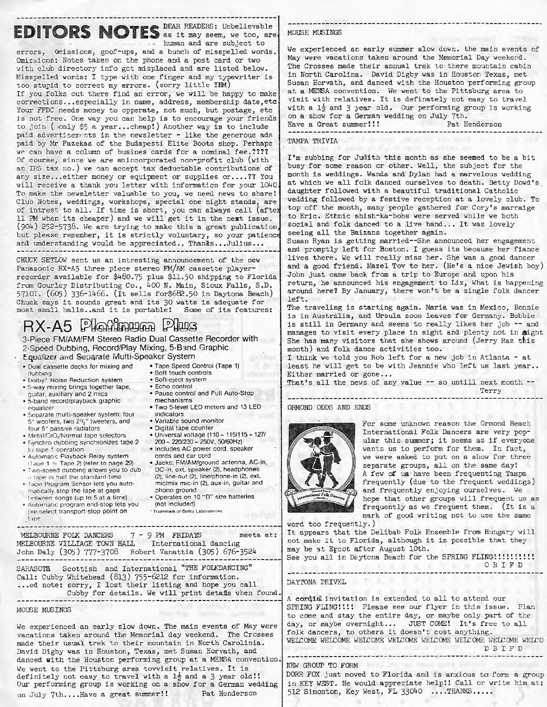## EDITORS NOTES DEAR READERS: Unbelievable human and are subject to

errors, Qmissions, goof-ups, and a bunch of misspelled words. Omissions: Notes taken on the phone and a post card or two with club directory info got misplaced and are listed below. Misspelled words: I type with one finger and my typewriter is too stupid to correct my errors. (sorry little IBM)

If you folks out there find an error, we will be happy to make corrections...especially in name, address, membership date, etc Your FFDC needs money to opperate, not much, but postage, etc is not free. One way you can help is to encourage your friends to join (  $\text{only }$  \$5 a year...cheap!) Another way is to include paid advertisements in the newsletter - like the generous ads paid by Mr Fazekas of the Budapesti Elite Boots shop. Perhaps we can have a column of busines cards for a nominal fee. ???? Of course, since we are anincorporated non-profit club (with an IRS tax no.) we can accept tax deductable contributions of any size... either money or equipment or supplies or....?? You will receive a thank you letter with informaticn for your 1040 To make the newsletter valuable to you, we need news to share! Club Notes, weddings, workshops, special one night stands, are of intrest to all. If time is short, you can always call (afte <sup>11</sup>PM when its cheaper) and we will get it in the next issue. (9o4) 252-5738. We are trying to make this a great publication but please remember, it is strictly voluntary, so your patienc and understanding would be appreciated.. Thanks...Julius...

CHUCK SETLOW sent us an intresting announcement of the new Panasonic RX-A5 three piece stereo FM/AM cassette playerrecorder available for \$480.75 plus \$11.50 shipping to Florida from Gourley Distributing Co., 400 N. Main, Sioux Falls, S.D. 57101. (605) 336-1466 . (It sells f or\$682.50 in Daytona Beach) Chuck says it sounds great and its 30 watts is adequate for most small halls .. and it is portable! Some of its features:

# **RX-A5 Platinum Plus**

3-Piece FM/AM/FM Stereo Radio Dual Cassette Recorder with 2-Speed Dubbing, Record/Play **Mixing,** 5-B:md Graphic vstem

| Equalizer and Separate Multi-Speaker S) |  |         |
|-----------------------------------------|--|---------|
| a Davel computer dealer for minimum and |  | ATana C |

- Dual cassette decks for mixing and Tape Speed Control (Tape 1)<br>
 Soft touch controls Soft-eject system<br>
 Soft-eject system Soft-eject system<br>
 Echo control<br>
 quitar, auxiliary and 2 mics Pause control and Ful
- 
- 
- 
- guitar, auxiliary and 2 mies Pause control and Full Auto-Stop 5-band record/playback graphic mechanisms ,-.qualizer Two 5-level LED meters and 13 LED Separate multi-speaker system: four indicators  $5''$  woofers, two  $2^{1/2}$  tweeters, and • Variable sound monitor 5<sup>\*</sup> passive radiators • Digital tape counter
- 
- four selectors Diversal voltage (110 115/115 127)<br>• Synchro dubbing synchronizes tape 2 200 220/230 250V, 50/60Hz)<br>• Includes AC power cord, speaker
- 
- 
- Tape Program Sensor lets you auto-<br>
 Tape Program Sensor lets you auto-<br>
 Tape Program Sensor lets you auto-<br>
 Nutomatic program end-stop lets you<br>
 Automatic program end-stop lets you<br>
(not included)
- pre-select transport-stop point on . Trademark of Dolby Laboratori t.ine
- 1, to tape 1 operation **•** Includes AC power cord, speaker<br>• Automatic Playback Relay system cords and car cord<br>• Tape 1  $\approx$  Tape 2) (refer to page 29) Jacks: FM/AM/ground antenna, AC-in,<br>• Two-speed dubbing allows you
- Two-speed dubbing allows you to dub DC-in, ext. speaker (2), headphones ,, 1.,pn and the standard time (2), line-out (2), line/phone-in (2), ext. Tape Program Sensor lets you auto- mic/mix mic-in (2), aux-in, guitar an
	-
	-

 $MELBOURNE$  FOLK DANCERS  $7 - 9$  PM FRIDAYS meets at:<br>HELBOURNE VILLIAGE TOWN HALL International dancing MELBOURNE VILLIAGE TOWN HALL Jchn Daly (305) 777- 3708 Robert Vanattia (305) 676-3524 SARASOTA Scottish and International "THE FOLKDANCING" Call: Cubby Whitehead (813) 755-6212 for information.<br>...ed note: sorry, I lost their listing and hope you call. Cubby for details. We will print details when found

### MOUSE MUSINGS

We experienced an early slow down. The main events of May were vacations taken around the Memorial day weekend. The Crosses made their usual trek to their mountain in North Carolinia. David Digby was in Houston, Texas, met Susan Horvath, and danced **with** the Houston performing group at a MENSA convention: We went to the Pittsburg area tovvisit relatives. It is definitely not easy to travel with a  $1\frac{1}{2}$  and a 3 year old!! Our performing group is working on a show for a German wedding on July 7th.... Have a great summer!! Pat Henderson

### MOUSE MUSINGS

We experienced an early summer slow down. the main events of May were vacations taken around the Memorial Day weekend. The Crosses made their annual trek to there mountain cabin in North Carolina. David Digby was in Houston Texas, met Susan Horvath, and danced with the Houston performing gronp at a MENSA convention. We went to the Pittsburg area to visit with relatives. It is definately not easy to travel with a  $1\frac{1}{2}$  and 3 year old. Our performing group is working on a show for a German wedding on July 7th. Have a Great summer!!! Pat Henderson

#### TAMPA TRIVIA

<sup>I</sup> 'm subbing for Judith this month as she seemed to be a bit busy for some reason or other. Well, the subject for the month is weddings. Wanda and Dylan had a marvelous wedding at which we all folk danced ourselves to death. Betty Dowd's daughter followed with a beautiful traditional Catholic wedding followed by a festive reception at a lovely club. To top off the month, many people gathered for Cory's marraige to Eric. Ethnic shish-ka-bobs were served while we both social and folk danced to a live band... It was lovely seeing all the Baizans together again.

Susan Ryan is getting married- -She announced her engagement and promptly left for Boston. I guess its because her fiance lives there. We will really miss her. She was a good dancer and a good friend. Mazel Tov to her. (He's a nice Jewish boy) John just came back from a trip to Europe and upon his return, he announced his engagement to Liz, What is happening around here? By January, there won't be a single folk dancer left.

The traveling is starting again. Maria was in Mexico, Bonnie is in Australia, and Ursula soon leaves for Germany. Bobbie is still in Germany and seems to really likes her job -- and manages to visit every place in sight and plenty not in **Sight**  She has many visitors that she shows around (Jerry Raz this month) and folk dance activities too.

I think we told you Rob left for a new job in Atlanta - at least he will get to be with Jeannie who left us last year.. Either married or gone...

That's all the news of any value -- so untill next month --Terry

ORMOND ODDS AND ENDS



For some unknown reason the Ormond Beach International Folk Dancers are very popular this summer; it seems as if everyone wants us to perform for them. In fact, we were asked to put on a show for three separate groups, all on the same day! A few of us· have been frequenting Tampa frequently (due to the frequent weddings) and frequently enjoying ourse]ves. We hope that other groups will frequent us as frequently as we frequent them. (It is a mark of good writing not to use the same

word too frequently.) It appears that the Delibab Folk Ensemble from Hungary will not make it to Florida, although it is possible that they may be at Epcot after August 10th. See you all in Daytona Beach for the SPRING FLING!!!!!!!!!!

0 B I FD

DAYTONA DRIVEL

<sup>A</sup>corqialinvitation is extended to all to attend our SPRING FLING!!!! Please see our flyer in this issue. Plan to come and stay the entire day, or maybe only part of the day, or maybe overnight... JUST COME! It's free to all folk dancers, to others it doesn't cost anything. WELCOME WELCOME WELCOME WELCOME WELCOME WELCOME WELCOME WELCO D B I F D NEW GROUP TO FORM DORR FOX just moved to Florida and is anxious to form a group in KEY WEST. He would appreciate help!! Call or write him at:

512 Simonton, Key West, FL 33040 ....THANKS.....